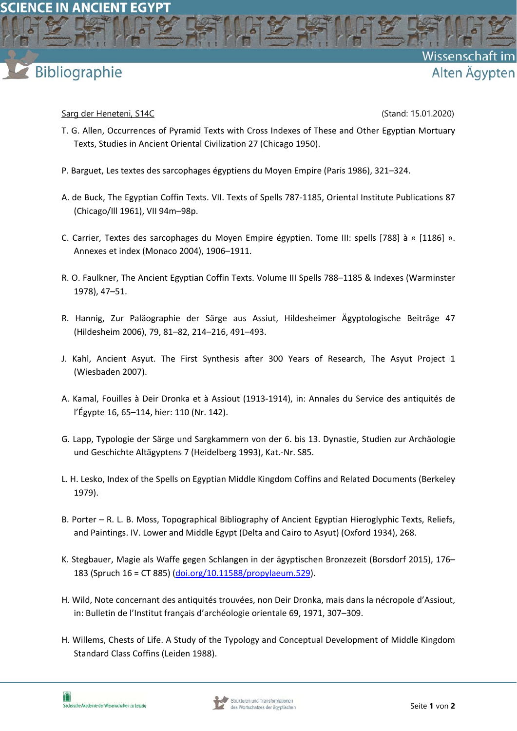## Bibliographie

## Sarg der Heneteni, S14C (Stand: 15.01.2020)

Wissenschaft

Alten Ägypten

- T. G. Allen, Occurrences of Pyramid Texts with Cross Indexes of These and Other Egyptian Mortuary Texts, Studies in Ancient Oriental Civilization 27 (Chicago 1950).
- P. Barguet, Les textes des sarcophages égyptiens du Moyen Empire (Paris 1986), 321–324.
- A. de Buck, The Egyptian Coffin Texts. VII. Texts of Spells 787‐1185, Oriental Institute Publications 87 (Chicago/Ill 1961), VII 94m–98p.
- C. Carrier, Textes des sarcophages du Moyen Empire égyptien. Tome III: spells [788] à « [1186] ». Annexes et index (Monaco 2004), 1906–1911.
- R. O. Faulkner, The Ancient Egyptian Coffin Texts. Volume III Spells 788–1185 & Indexes (Warminster 1978), 47–51.
- R. Hannig, Zur Paläographie der Särge aus Assiut, Hildesheimer Ägyptologische Beiträge 47 (Hildesheim 2006), 79, 81–82, 214–216, 491–493.
- J. Kahl, Ancient Asyut. The First Synthesis after 300 Years of Research, The Asyut Project 1 (Wiesbaden 2007).
- A. Kamal, Fouilles à Deir Dronka et à Assiout (1913‐1914), in: Annales du Service des antiquités de l'Égypte 16, 65–114, hier: 110 (Nr. 142).
- G. Lapp, Typologie der Särge und Sargkammern von der 6. bis 13. Dynastie, Studien zur Archäologie und Geschichte Altägyptens 7 (Heidelberg 1993), Kat.‐Nr. S85.
- L. H. Lesko, Index of the Spells on Egyptian Middle Kingdom Coffins and Related Documents (Berkeley 1979).
- B. Porter R. L. B. Moss, Topographical Bibliography of Ancient Egyptian Hieroglyphic Texts, Reliefs, and Paintings. IV. Lower and Middle Egypt (Delta and Cairo to Asyut) (Oxford 1934), 268.
- K. Stegbauer, Magie als Waffe gegen Schlangen in der ägyptischen Bronzezeit (Borsdorf 2015), 176– 183 (Spruch 16 = CT 885) (doi.org/10.11588/propylaeum.529).
- H. Wild, Note concernant des antiquités trouvées, non Deir Dronka, mais dans la nécropole d'Assiout, in: Bulletin de l'Institut français d'archéologie orientale 69, 1971, 307–309.
- H. Willems, Chests of Life. A Study of the Typology and Conceptual Development of Middle Kingdom Standard Class Coffins (Leiden 1988).